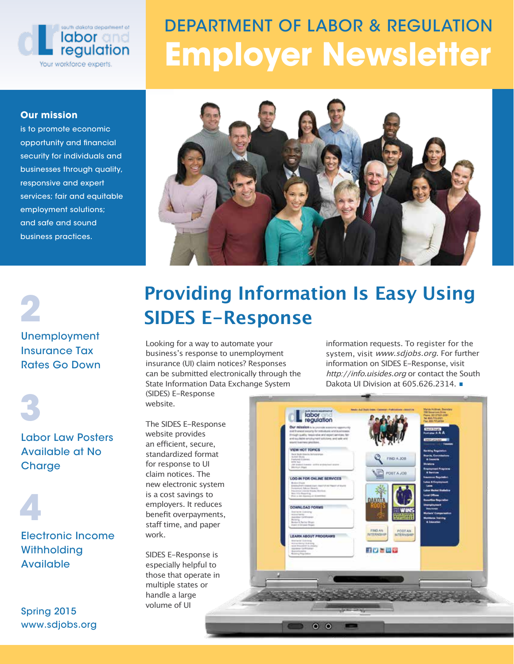

# DEPARTMENT OF LABOR & REGULATION Employer Newsletter

#### Our mission

is to promote economic opportunity and financial security for individuals and businesses through quality, responsive and expert services; fair and equitable employment solutions; and safe and sound business practices.



Unemployment 2

#### Insurance Tax Rates Go Down

3

Labor Law Posters Available at No **Charge** 

Electronic Income **Withholding** Available 4

Spring 2015 www.sdjobs.org

# **Providing Information Is Easy Using SIDES E-Response**

Looking for a way to automate your business's response to unemployment insurance (UI) claim notices? Responses can be submitted electronically through the State Information Data Exchange System (SIDES) E-Response

website.

The SIDES E-Response website provides an efficient, secure, standardized format for response to UI claim notices. The new electronic system is a cost savings to employers. It reduces benefit overpayments, staff time, and paper work.

SIDES E-Response is especially helpful to those that operate in multiple states or handle a large volume of UI

information requests. To register for the system, visit www.sdjobs.org. For further information on SIDES E-Response, visit http://info.uisides.org or contact the South Dakota UI Division at 605.626.2314.

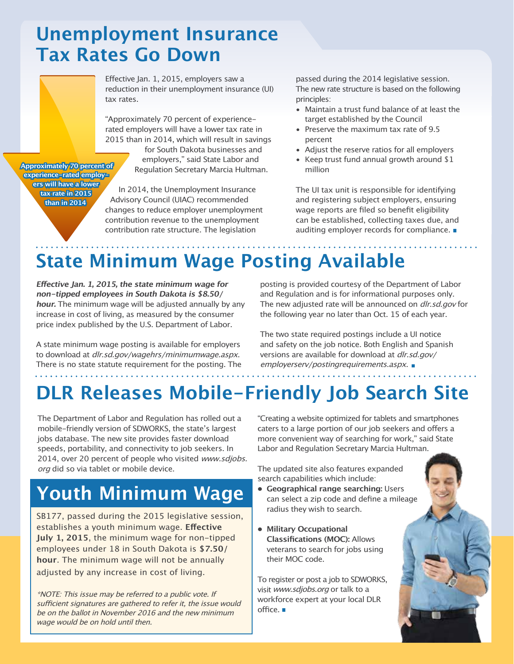#### **Unemployment Insurance Tax Rates Go Down**

Effective Jan. 1, 2015, employers saw a reduction in their unemployment insurance (UI) tax rates.

"Approximately 70 percent of experiencerated employers will have a lower tax rate in 2015 than in 2014, which will result in savings

for South Dakota businesses and employers," said State Labor and Regulation Secretary Marcia Hultman.

**Approximately 70 percent of experience-rated employers will have a lower tax rate in 2015 than in 2014**

In 2014, the Unemployment Insurance Advisory Council (UIAC) recommended changes to reduce employer unemployment contribution revenue to the unemployment contribution rate structure. The legislation

passed during the 2014 legislative session. The new rate structure is based on the following principles:

- Maintain a trust fund balance of at least the target established by the Council
- Preserve the maximum tax rate of 9.5 percent
- Adjust the reserve ratios for all employers
- Keep trust fund annual growth around \$1 million

The UI tax unit is responsible for identifying and registering subject employers, ensuring wage reports are filed so benefit eligibility can be established, collecting taxes due, and auditing employer records for compliance.

# **State Minimum Wage Posting Available**

**Effective Jan. 1, 2015, the state minimum wage for non-tipped employees in South Dakota is \$8.50/ hour.** The minimum wage will be adjusted annually by any increase in cost of living, as measured by the consumer price index published by the U.S. Department of Labor.

A state minimum wage posting is available for employers to download at dlr.sd.gov/wagehrs/minimumwage.aspx. There is no state statute requirement for the posting. The posting is provided courtesy of the Department of Labor and Regulation and is for informational purposes only. The new adjusted rate will be announced on *dlr.sd.gov* for the following year no later than Oct. 15 of each year.

The two state required postings include a UI notice and safety on the job notice. Both English and Spanish versions are available for download at dlr.sd.gov/ employerserv/postingrequirements.aspx.

# **DLR Releases Mobile-Friendly Job Search Site**

The Department of Labor and Regulation has rolled out a mobile-friendly version of SDWORKS, the state's largest jobs database. The new site provides faster download speeds, portability, and connectivity to job seekers. In 2014, over 20 percent of people who visited www.sdjobs. org did so via tablet or mobile device.

# **Youth Minimum Wage**

SB177, passed during the 2015 legislative session, establishes a youth minimum wage. **Effective July 1, 2015**, the minimum wage for non-tipped employees under 18 in South Dakota is **\$7.50/ hour**. The minimum wage will not be annually adjusted by any increase in cost of living.

\*NOTE: This issue may be referred to a public vote. If sufficient signatures are gathered to refer it, the issue would be on the ballot in November 2016 and the new minimum wage would be on hold until then.

"Creating a website optimized for tablets and smartphones caters to a large portion of our job seekers and offers a more convenient way of searching for work," said State Labor and Regulation Secretary Marcia Hultman.

The updated site also features expanded search capabilities which include:

- **• Geographical range searching:** Users can select a zip code and define a mileage radius they wish to search.
- **• Military Occupational Classifications (MOC):** Allows veterans to search for jobs using their MOC code.

To register or post a job to SDWORKS, visit www.sdjobs.org or talk to a workforce expert at your local DLR office.

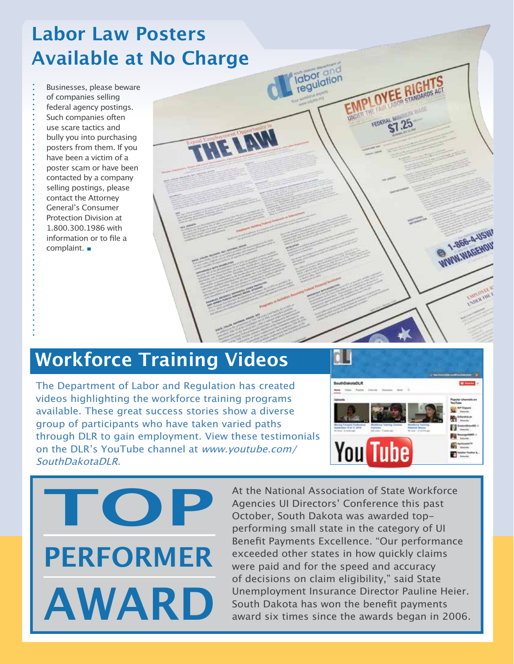# **Labor Law Posters Available at No Charge**

Businesses, please beware of companies selling federal agency postings. Such companies often use scare tactics and bully you into purchasing posters from them. If you have been a victim of a poster scam or have been contacted by a company selling postings, please contact the Attorney General's Consumer Protection Division at 1.800.300.1986 with information or to file a complaint.

#### **Workforce Training Videos**

The Department of Labor and Regulation has created videos highlighting the workforce training programs available. These great success stories show a diverse group of participants who have taken varied paths through DLR to gain employment. View these testimonials on the DLR's YouTube channel at www.youtube.com/ SouthDakotaDLR.



1-866-4-USW WWW.WAGEHOU



At the National Association of State Workforce Agencies UI Directors' Conference this past October, South Dakota was awarded topperforming small state in the category of UI Benefit Payments Excellence. "Our performance exceeded other states in how quickly claims were paid and for the speed and accuracy of decisions on claim eligibility," said State Unemployment Insurance Director Pauline Heier. South Dakota has won the benefit payments award six times since the awards began in 2006.

**Igbor** and

THE LAW